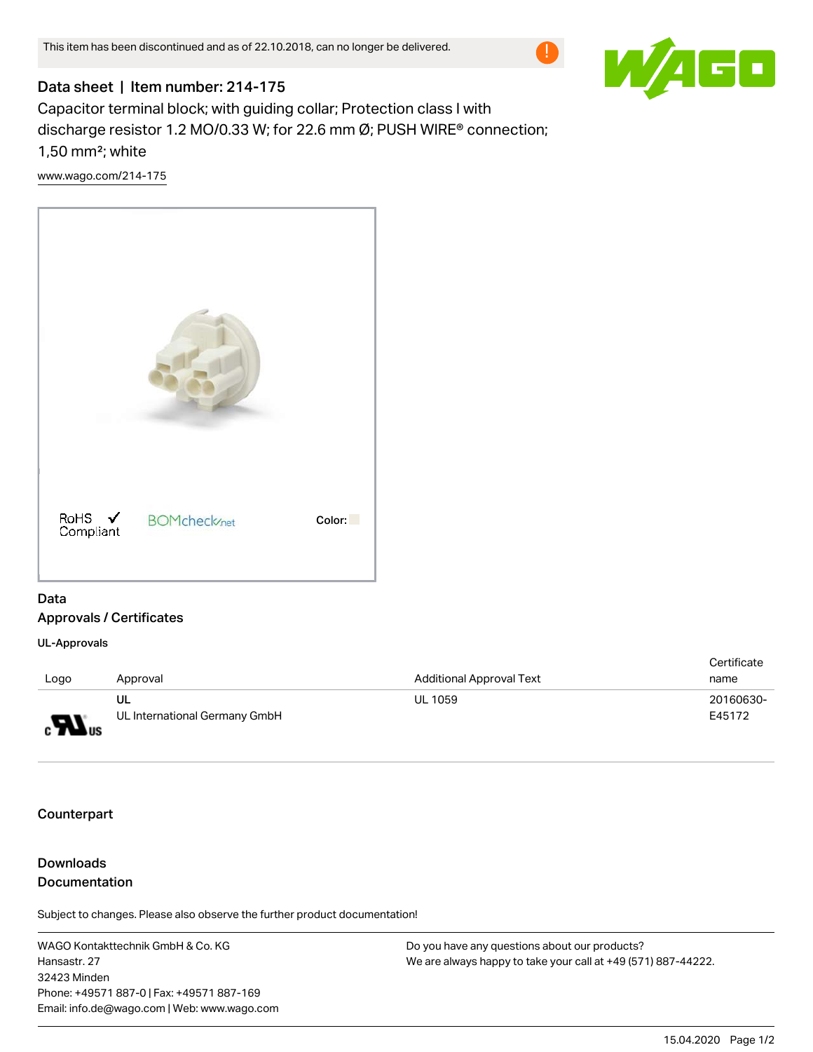

## Data sheet | Item number: 214-175

Capacitor terminal block; with guiding collar; Protection class I with discharge resistor 1.2 MO/0.33 W; for 22.6 mm Ø; PUSH WIRE® connection; 1,50 mm²; white

[www.wago.com/214-175](http://www.wago.com/214-175)



## Data Approvals / Certificates

UL-Approvals

|                                  |                               |                          | Certificate |
|----------------------------------|-------------------------------|--------------------------|-------------|
| Logo                             | Approval                      | Additional Approval Text | name        |
|                                  | UL                            | <b>UL 1059</b>           | 20160630-   |
| $_{\rm c}$ $\mathbf{W}_{\rm us}$ | UL International Germany GmbH |                          | E45172      |

**Counterpart** 

## Downloads **Documentation**

Subject to changes. Please also observe the further product documentation!

WAGO Kontakttechnik GmbH & Co. KG Hansastr. 27 32423 Minden Phone: +49571 887-0 | Fax: +49571 887-169 Email: info.de@wago.com | Web: www.wago.com

Do you have any questions about our products? We are always happy to take your call at +49 (571) 887-44222.